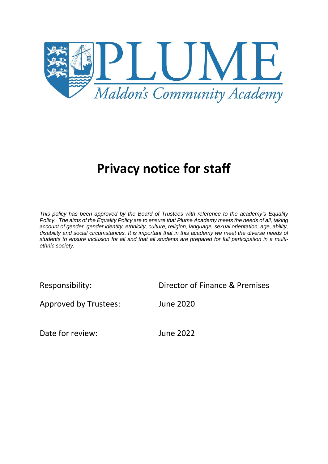

# **Privacy notice for staff**

*This policy has been approved by the Board of Trustees with reference to the academy's Equality Policy. The aims of the Equality Policy are to ensure that Plume Academy meets the needs of all, taking account of gender, gender identity, ethnicity, culture, religion, language, sexual orientation, age, ability, disability and social circumstances. It is important that in this academy we meet the diverse needs of students to ensure inclusion for all and that all students are prepared for full participation in a multiethnic society.*

Responsibility: Director of Finance & Premises

Approved by Trustees: June 2020

Date for review: June 2022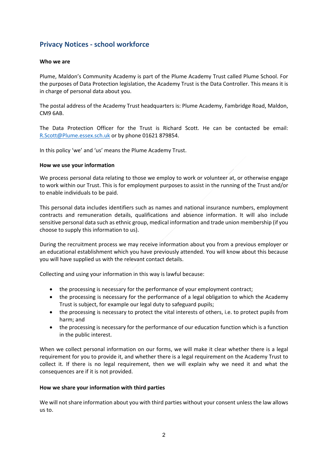# **Privacy Notices ‐ school workforce**

#### **Who we are**

Plume, Maldon's Community Academy is part of the Plume Academy Trust called Plume School. For the purposes of Data Protection legislation, the Academy Trust is the Data Controller. This means it is in charge of personal data about you.

The postal address of the Academy Trust headquarters is: Plume Academy, Fambridge Road, Maldon, CM9 6AB.

The Data Protection Officer for the Trust is Richard Scott. He can be contacted be email: R.Scott@Plume.essex.sch.uk or by phone 01621 879854.

In this policy 'we' and 'us' means the Plume Academy Trust.

#### **How we use your information**

We process personal data relating to those we employ to work or volunteer at, or otherwise engage to work within our Trust. This is for employment purposes to assist in the running of the Trust and/or to enable individuals to be paid.

This personal data includes identifiers such as names and national insurance numbers, employment contracts and remuneration details, qualifications and absence information. It will also include sensitive personal data such as ethnic group, medical information and trade union membership (if you choose to supply this information to us).

During the recruitment process we may receive information about you from a previous employer or an educational establishment which you have previously attended. You will know about this because you will have supplied us with the relevant contact details.

Collecting and using your information in this way is lawful because:

- the processing is necessary for the performance of your employment contract;
- the processing is necessary for the performance of a legal obligation to which the Academy Trust is subject, for example our legal duty to safeguard pupils;
- the processing is necessary to protect the vital interests of others, i.e. to protect pupils from harm; and
- the processing is necessary for the performance of our education function which is a function in the public interest.

When we collect personal information on our forms, we will make it clear whether there is a legal requirement for you to provide it, and whether there is a legal requirement on the Academy Trust to collect it. If there is no legal requirement, then we will explain why we need it and what the consequences are if it is not provided.

## **How we share your information with third parties**

We will not share information about you with third parties without your consent unless the law allows us to.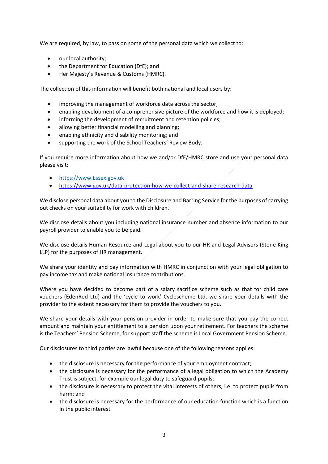We are required, by law, to pass on some of the personal data which we collect to:

- our local authority;
- the Department for Education (DfE); and
- Her Majesty's Revenue & Customs (HMRC).

The collection of this information will benefit both national and local users by:

- improving the management of workforce data across the sector;
- enabling development of a comprehensive picture of the workforce and how it is deployed;
- informing the development of recruitment and retention policies;
- allowing better financial modelling and planning;
- enabling ethnicity and disability monitoring; and
- supporting the work of the School Teachers' Review Body.

If you require more information about how we and/or DfE/HMRC store and use your personal data please visit:

- https://www.Essex.gov.uk
- https://www.gov.uk/data-protection-how-we-collect-and-share-research-data

We disclose personal data about you to the Disclosure and Barring Service for the purposes of carrying out checks on your suitability for work with children.

We disclose details about you including national insurance number and absence information to our payroll provider to enable you to be paid.

We disclose details Human Resource and Legal about you to our HR and Legal Advisors (Stone King LLP) for the purposes of HR management.

We share your identity and pay information with HMRC in conjunction with your legal obligation to pay income tax and make national insurance contributions.

Where you have decided to become part of a salary sacrifice scheme such as that for child care vouchers (EdenRed Ltd) and the 'cycle to work' Cyclescheme Ltd, we share your details with the provider to the extent necessary for them to provide the vouchers to you.

We share your details with your pension provider in order to make sure that you pay the correct amount and maintain your entitlement to a pension upon your retirement. For teachers the scheme is the Teachers' Pension Scheme, for support staff the scheme is Local Government Pension Scheme.

Our disclosures to third parties are lawful because one of the following reasons applies:

- the disclosure is necessary for the performance of your employment contract;
- the disclosure is necessary for the performance of a legal obligation to which the Academy Trust is subject, for example our legal duty to safeguard pupils;
- the disclosure is necessary to protect the vital interests of others, i.e. to protect pupils from harm; and
- the disclosure is necessary for the performance of our education function which is a function in the public interest.